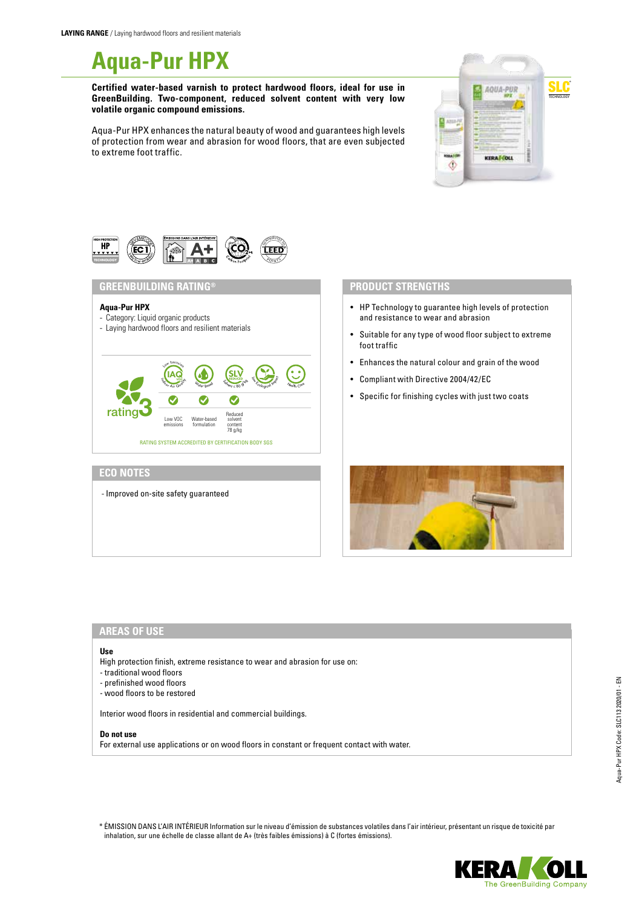

**Certified water-based varnish to protect hardwood floors, ideal for use in GreenBuilding. Two-component, reduced solvent content with very low volatile organic compound emissions.**

Aqua-Pur HPX enhances the natural beauty of wood and guarantees high levels of protection from wear and abrasion for wood floors, that are even subjected to extreme foot traffic.





### **GREENBUILDING RATING®**

#### **Aqua-Pur HPX**

# - Category: Liquid organic products

- Laying hardwood floors and resilient materials



# **ECO NOTES**

- Improved on-site safety guaranteed

### **PRODUCT STRENGTHS**

- HP Technology to guarantee high levels of protection and resistance to wear and abrasion
- Suitable for any type of wood floor subject to extreme foot traffic
- Enhances the natural colour and grain of the wood
- Compliant with Directive 2004/42/EC
- Specific for finishing cycles with just two coats



## **AREAS OF USE**

#### **Use**

High protection finish, extreme resistance to wear and abrasion for use on:

- traditional wood floors
- prefinished wood floors
- wood floors to be restored

Interior wood floors in residential and commercial buildings.

#### **Do not use**

For external use applications or on wood floors in constant or frequent contact with water.

\* ÉMISSION DANS L'AIR INTÉRIEUR Information sur le niveau d'émission de substances volatiles dans l'air intérieur, présentant un risque de toxicité par inhalation, sur une échelle de classe allant de A+ (très faibles émissions) à C (fortes émissions).

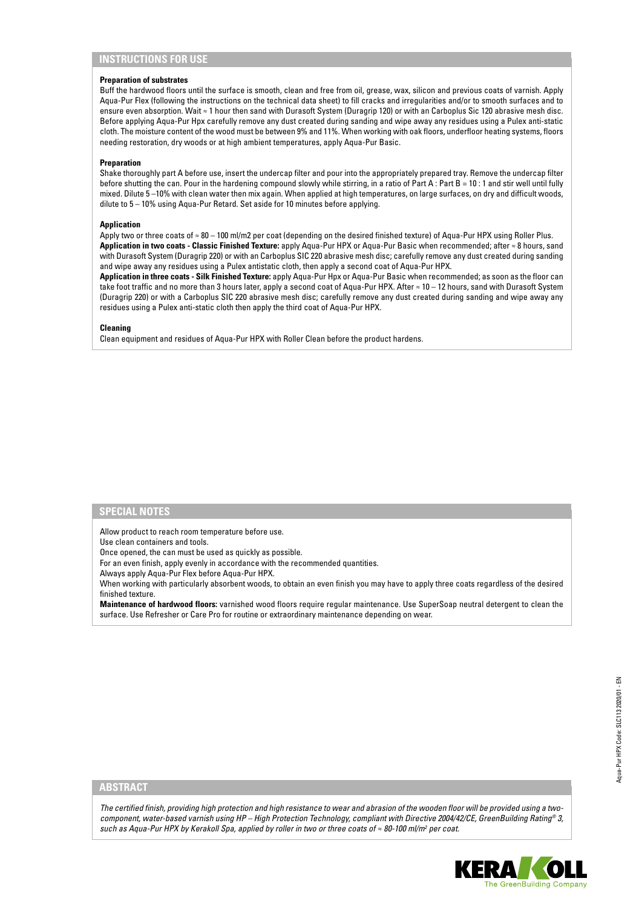## **INSTRUCTIONS FOR USE**

#### **Preparation of substrates**

Buff the hardwood floors until the surface is smooth, clean and free from oil, grease, wax, silicon and previous coats of varnish. Apply Aqua-Pur Flex (following the instructions on the technical data sheet) to fill cracks and irregularities and/or to smooth surfaces and to ensure even absorption. Wait ≈ 1 hour then sand with Durasoft System (Duragrip 120) or with an Carboplus Sic 120 abrasive mesh disc. Before applying Aqua-Pur Hpx carefully remove any dust created during sanding and wipe away any residues using a Pulex anti-static cloth. The moisture content of the wood must be between 9% and 11%. When working with oak floors, underfloor heating systems, floors needing restoration, dry woods or at high ambient temperatures, apply Aqua-Pur Basic.

#### **Preparation**

Shake thoroughly part A before use, insert the undercap filter and pour into the appropriately prepared tray. Remove the undercap filter before shutting the can. Pour in the hardening compound slowly while stirring, in a ratio of Part A: Part B = 10:1 and stir well until fully mixed. Dilute 5 –10% with clean water then mix again. When applied at high temperatures, on large surfaces, on dry and difficult woods, dilute to 5 – 10% using Aqua-Pur Retard. Set aside for 10 minutes before applying.

### **Application**

Apply two or three coats of ≈ 80 – 100 ml/m2 per coat (depending on the desired finished texture) of Aqua-Pur HPX using Roller Plus. **Application in two coats - Classic Finished Texture:** apply Aqua-Pur HPX or Aqua-Pur Basic when recommended; after ≈ 8 hours, sand with Durasoft System (Duragrip 220) or with an Carboplus SIC 220 abrasive mesh disc; carefully remove any dust created during sanding and wipe away any residues using a Pulex antistatic cloth, then apply a second coat of Aqua-Pur HPX.

**Application in three coats - Silk Finished Texture:** apply Aqua-Pur Hpx or Aqua-Pur Basic when recommended; as soon as the floor can take foot traffic and no more than 3 hours later, apply a second coat of Aqua-Pur HPX. After ≈ 10 – 12 hours, sand with Durasoft System (Duragrip 220) or with a Carboplus SIC 220 abrasive mesh disc; carefully remove any dust created during sanding and wipe away any residues using a Pulex anti-static cloth then apply the third coat of Aqua-Pur HPX.

#### **Cleaning**

Clean equipment and residues of Aqua-Pur HPX with Roller Clean before the product hardens.

#### **SPECIAL NOTES**

Allow product to reach room temperature before use.

Use clean containers and tools.

Once opened, the can must be used as quickly as possible.

For an even finish, apply evenly in accordance with the recommended quantities.

Always apply Aqua-Pur Flex before Aqua-Pur HPX.

When working with particularly absorbent woods, to obtain an even finish you may have to apply three coats regardless of the desired finished texture.

**Maintenance of hardwood floors:** varnished wood floors require regular maintenance. Use SuperSoap neutral detergent to clean the surface. Use Refresher or Care Pro for routine or extraordinary maintenance depending on wear.

### **ABSTRACT**

*The certified finish, providing high protection and high resistance to wear and abrasion of the wooden floor will be provided using a twocomponent, water-based varnish using HP – High Protection Technology, compliant with Directive 2004/42/CE, GreenBuilding Rating® 3, such as Aqua-Pur HPX by Kerakoll Spa, applied by roller in two or three coats of ≈ 80-100 ml/m<sup>2</sup> per coat.*